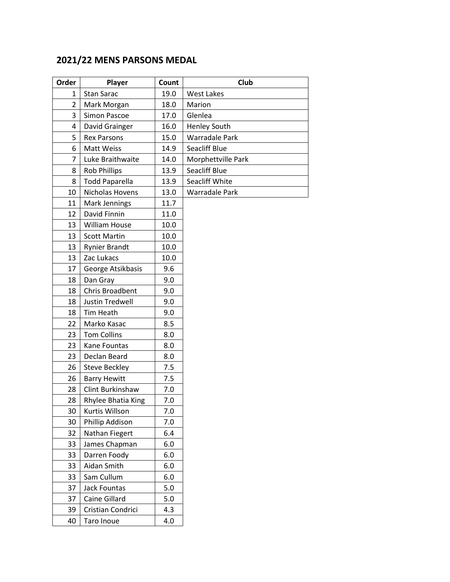## **2021/22 MENS PARSONS MEDAL**

| Order          | Player                | Count | Club                |
|----------------|-----------------------|-------|---------------------|
| 1              | Stan Sarac            | 19.0  | West Lakes          |
| $\overline{2}$ | Mark Morgan           | 18.0  | Marion              |
| 3              | Simon Pascoe          | 17.0  | Glenlea             |
| 4              | David Grainger        | 16.0  | <b>Henley South</b> |
| 5              | <b>Rex Parsons</b>    | 15.0  | Warradale Park      |
| 6              | Matt Weiss            | 14.9  | Seacliff Blue       |
| 7              | Luke Braithwaite      | 14.0  | Morphettville Park  |
| 8              | <b>Rob Phillips</b>   | 13.9  | Seacliff Blue       |
| 8              | <b>Todd Paparella</b> | 13.9  | Seacliff White      |
| 10             | Nicholas Hovens       | 13.0  | Warradale Park      |
| 11             | Mark Jennings         | 11.7  |                     |
| 12             | David Finnin          | 11.0  |                     |
| 13             | William House         | 10.0  |                     |
| 13             | <b>Scott Martin</b>   | 10.0  |                     |
| 13             | <b>Rynier Brandt</b>  | 10.0  |                     |
| 13             | Zac Lukacs            | 10.0  |                     |
| 17             | George Atsikbasis     | 9.6   |                     |
| 18             | Dan Gray              | 9.0   |                     |
| 18             | Chris Broadbent       | 9.0   |                     |
| 18             | Justin Tredwell       | 9.0   |                     |
| 18             | Tim Heath             | 9.0   |                     |
| 22             | Marko Kasac           | 8.5   |                     |
| 23             | <b>Tom Collins</b>    | 8.0   |                     |
| 23             | Kane Fountas          | 8.0   |                     |
| 23             | Declan Beard          | 8.0   |                     |
| 26             | <b>Steve Beckley</b>  | 7.5   |                     |
| 26             | <b>Barry Hewitt</b>   | 7.5   |                     |
| 28             | Clint Burkinshaw      | 7.0   |                     |
| 28             | Rhylee Bhatia King    | 7.0   |                     |
| 30             | Kurtis Willson        | 7.0   |                     |
| 30             | Phillip Addison       | 7.0   |                     |
| 32             | Nathan Fiegert        | 6.4   |                     |
| 33             | James Chapman         | 6.0   |                     |
| 33             | Darren Foody          | 6.0   |                     |
| 33             | Aidan Smith           | 6.0   |                     |
| 33             | Sam Cullum            | 6.0   |                     |
| 37             | <b>Jack Fountas</b>   | 5.0   |                     |
| 37             | Caine Gillard         | 5.0   |                     |
| 39             | Cristian Condrici     | 4.3   |                     |
| 40             | Taro Inoue            | 4.0   |                     |